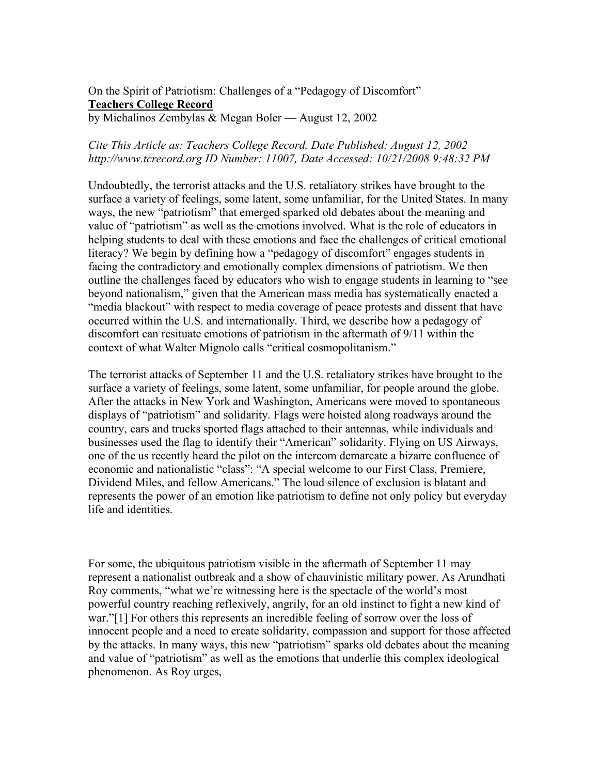On the Spirit of Patriotism: Challenges of a "Pedagogy of Discomfort" **Teachers College Record** by Michalinos Zembylas & Megan Boler — August 12, 2002

## *Cite This Article as: Teachers College Record, Date Published: August 12, 2002 http://www.tcrecord.org ID Number: 11007, Date Accessed: 10/21/2008 9:48:32 PM*

Undoubtedly, the terrorist attacks and the U.S. retaliatory strikes have brought to the surface a variety of feelings, some latent, some unfamiliar, for the United States. In many ways, the new "patriotism" that emerged sparked old debates about the meaning and value of "patriotism" as well as the emotions involved. What is the role of educators in helping students to deal with these emotions and face the challenges of critical emotional literacy? We begin by defining how a "pedagogy of discomfort" engages students in facing the contradictory and emotionally complex dimensions of patriotism. We then outline the challenges faced by educators who wish to engage students in learning to "see beyond nationalism," given that the American mass media has systematically enacted a "media blackout" with respect to media coverage of peace protests and dissent that have occurred within the U.S. and internationally. Third, we describe how a pedagogy of discomfort can resituate emotions of patriotism in the aftermath of 9/11 within the context of what Walter Mignolo calls "critical cosmopolitanism."

The terrorist attacks of September 11 and the U.S. retaliatory strikes have brought to the surface a variety of feelings, some latent, some unfamiliar, for people around the globe. After the attacks in New York and Washington, Americans were moved to spontaneous displays of "patriotism" and solidarity. Flags were hoisted along roadways around the country, cars and trucks sported flags attached to their antennas, while individuals and businesses used the flag to identify their "American" solidarity. Flying on US Airways, one of the us recently heard the pilot on the intercom demarcate a bizarre confluence of economic and nationalistic "class": "A special welcome to our First Class, Premiere, Dividend Miles, and fellow Americans." The loud silence of exclusion is blatant and represents the power of an emotion like patriotism to define not only policy but everyday life and identities.

For some, the ubiquitous patriotism visible in the aftermath of September 11 may represent a nationalist outbreak and a show of chauvinistic military power. As Arundhati Roy comments, "what we're witnessing here is the spectacle of the world's most powerful country reaching reflexively, angrily, for an old instinct to fight a new kind of war."[1] For others this represents an incredible feeling of sorrow over the loss of innocent people and a need to create solidarity, compassion and support for those affected by the attacks. In many ways, this new "patriotism" sparks old debates about the meaning and value of "patriotism" as well as the emotions that underlie this complex ideological phenomenon. As Roy urges,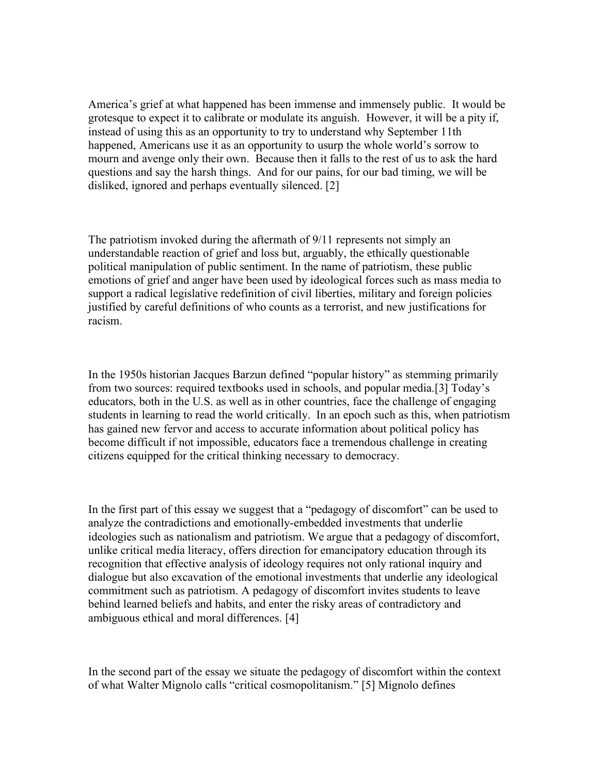America's grief at what happened has been immense and immensely public. It would be grotesque to expect it to calibrate or modulate its anguish. However, it will be a pity if, instead of using this as an opportunity to try to understand why September 11th happened, Americans use it as an opportunity to usurp the whole world's sorrow to mourn and avenge only their own. Because then it falls to the rest of us to ask the hard questions and say the harsh things. And for our pains, for our bad timing, we will be disliked, ignored and perhaps eventually silenced. [2]

The patriotism invoked during the aftermath of 9/11 represents not simply an understandable reaction of grief and loss but, arguably, the ethically questionable political manipulation of public sentiment. In the name of patriotism, these public emotions of grief and anger have been used by ideological forces such as mass media to support a radical legislative redefinition of civil liberties, military and foreign policies justified by careful definitions of who counts as a terrorist, and new justifications for racism.

In the 1950s historian Jacques Barzun defined "popular history" as stemming primarily from two sources: required textbooks used in schools, and popular media.[3] Today's educators, both in the U.S. as well as in other countries, face the challenge of engaging students in learning to read the world critically. In an epoch such as this, when patriotism has gained new fervor and access to accurate information about political policy has become difficult if not impossible, educators face a tremendous challenge in creating citizens equipped for the critical thinking necessary to democracy.

In the first part of this essay we suggest that a "pedagogy of discomfort" can be used to analyze the contradictions and emotionally-embedded investments that underlie ideologies such as nationalism and patriotism. We argue that a pedagogy of discomfort, unlike critical media literacy, offers direction for emancipatory education through its recognition that effective analysis of ideology requires not only rational inquiry and dialogue but also excavation of the emotional investments that underlie any ideological commitment such as patriotism. A pedagogy of discomfort invites students to leave behind learned beliefs and habits, and enter the risky areas of contradictory and ambiguous ethical and moral differences. [4]

In the second part of the essay we situate the pedagogy of discomfort within the context of what Walter Mignolo calls "critical cosmopolitanism." [5] Mignolo defines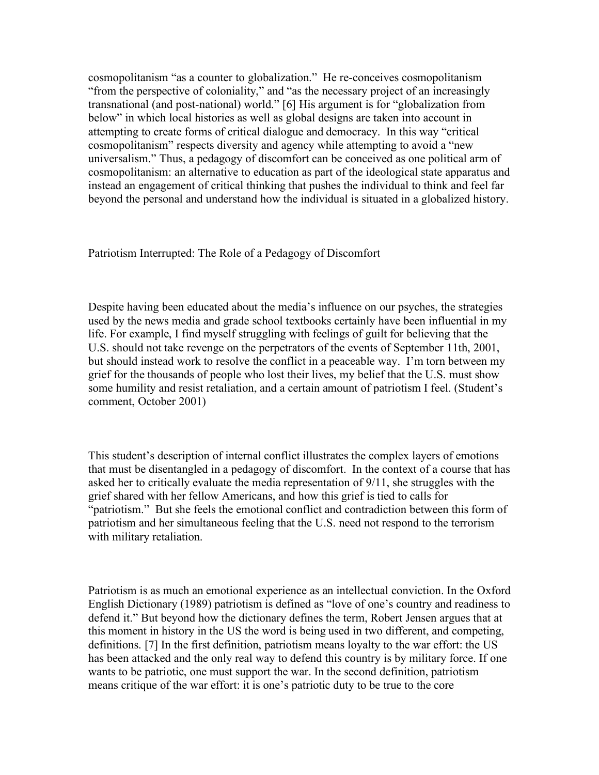cosmopolitanism "as a counter to globalization." He re-conceives cosmopolitanism "from the perspective of coloniality," and "as the necessary project of an increasingly transnational (and post-national) world." [6] His argument is for "globalization from below" in which local histories as well as global designs are taken into account in attempting to create forms of critical dialogue and democracy. In this way "critical cosmopolitanism" respects diversity and agency while attempting to avoid a "new universalism." Thus, a pedagogy of discomfort can be conceived as one political arm of cosmopolitanism: an alternative to education as part of the ideological state apparatus and instead an engagement of critical thinking that pushes the individual to think and feel far beyond the personal and understand how the individual is situated in a globalized history.

Patriotism Interrupted: The Role of a Pedagogy of Discomfort

Despite having been educated about the media's influence on our psyches, the strategies used by the news media and grade school textbooks certainly have been influential in my life. For example, I find myself struggling with feelings of guilt for believing that the U.S. should not take revenge on the perpetrators of the events of September 11th, 2001, but should instead work to resolve the conflict in a peaceable way. I'm torn between my grief for the thousands of people who lost their lives, my belief that the U.S. must show some humility and resist retaliation, and a certain amount of patriotism I feel. (Student's comment, October 2001)

This student's description of internal conflict illustrates the complex layers of emotions that must be disentangled in a pedagogy of discomfort. In the context of a course that has asked her to critically evaluate the media representation of 9/11, she struggles with the grief shared with her fellow Americans, and how this grief is tied to calls for "patriotism." But she feels the emotional conflict and contradiction between this form of patriotism and her simultaneous feeling that the U.S. need not respond to the terrorism with military retaliation.

Patriotism is as much an emotional experience as an intellectual conviction. In the Oxford English Dictionary (1989) patriotism is defined as "love of one's country and readiness to defend it." But beyond how the dictionary defines the term, Robert Jensen argues that at this moment in history in the US the word is being used in two different, and competing, definitions. [7] In the first definition, patriotism means loyalty to the war effort: the US has been attacked and the only real way to defend this country is by military force. If one wants to be patriotic, one must support the war. In the second definition, patriotism means critique of the war effort: it is one's patriotic duty to be true to the core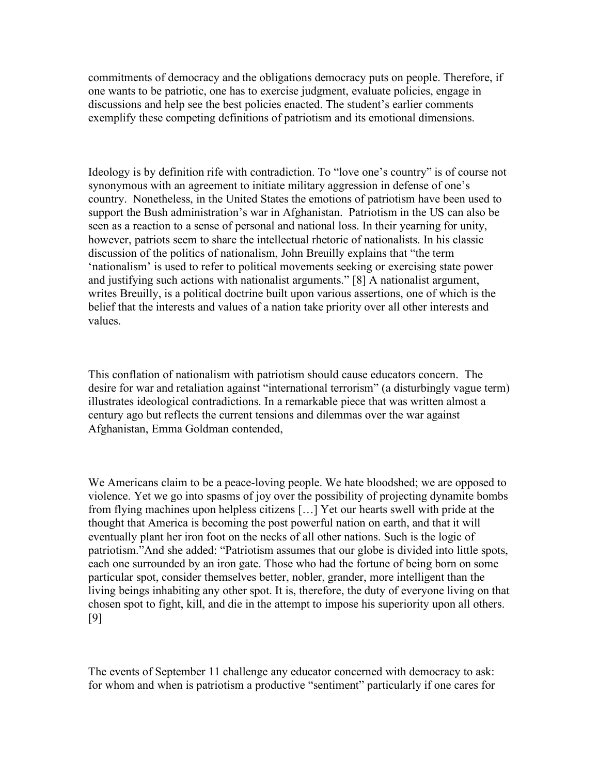commitments of democracy and the obligations democracy puts on people. Therefore, if one wants to be patriotic, one has to exercise judgment, evaluate policies, engage in discussions and help see the best policies enacted. The student's earlier comments exemplify these competing definitions of patriotism and its emotional dimensions.

Ideology is by definition rife with contradiction. To "love one's country" is of course not synonymous with an agreement to initiate military aggression in defense of one's country. Nonetheless, in the United States the emotions of patriotism have been used to support the Bush administration's war in Afghanistan. Patriotism in the US can also be seen as a reaction to a sense of personal and national loss. In their yearning for unity, however, patriots seem to share the intellectual rhetoric of nationalists. In his classic discussion of the politics of nationalism, John Breuilly explains that "the term 'nationalism' is used to refer to political movements seeking or exercising state power and justifying such actions with nationalist arguments." [8] A nationalist argument, writes Breuilly, is a political doctrine built upon various assertions, one of which is the belief that the interests and values of a nation take priority over all other interests and values.

This conflation of nationalism with patriotism should cause educators concern. The desire for war and retaliation against "international terrorism" (a disturbingly vague term) illustrates ideological contradictions. In a remarkable piece that was written almost a century ago but reflects the current tensions and dilemmas over the war against Afghanistan, Emma Goldman contended,

We Americans claim to be a peace-loving people. We hate bloodshed; we are opposed to violence. Yet we go into spasms of joy over the possibility of projecting dynamite bombs from flying machines upon helpless citizens […] Yet our hearts swell with pride at the thought that America is becoming the post powerful nation on earth, and that it will eventually plant her iron foot on the necks of all other nations. Such is the logic of patriotism."And she added: "Patriotism assumes that our globe is divided into little spots, each one surrounded by an iron gate. Those who had the fortune of being born on some particular spot, consider themselves better, nobler, grander, more intelligent than the living beings inhabiting any other spot. It is, therefore, the duty of everyone living on that chosen spot to fight, kill, and die in the attempt to impose his superiority upon all others. [9]

The events of September 11 challenge any educator concerned with democracy to ask: for whom and when is patriotism a productive "sentiment" particularly if one cares for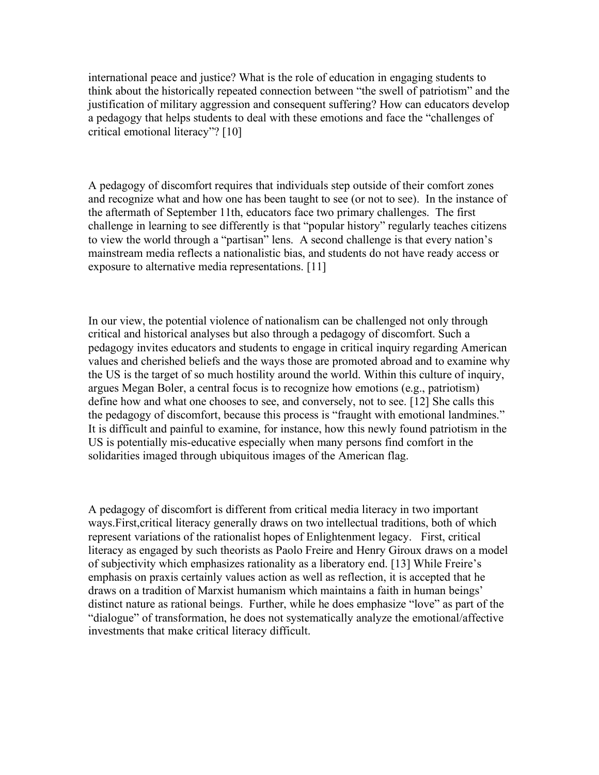international peace and justice? What is the role of education in engaging students to think about the historically repeated connection between "the swell of patriotism" and the justification of military aggression and consequent suffering? How can educators develop a pedagogy that helps students to deal with these emotions and face the "challenges of critical emotional literacy"? [10]

A pedagogy of discomfort requires that individuals step outside of their comfort zones and recognize what and how one has been taught to see (or not to see). In the instance of the aftermath of September 11th, educators face two primary challenges. The first challenge in learning to see differently is that "popular history" regularly teaches citizens to view the world through a "partisan" lens. A second challenge is that every nation's mainstream media reflects a nationalistic bias, and students do not have ready access or exposure to alternative media representations. [11]

In our view, the potential violence of nationalism can be challenged not only through critical and historical analyses but also through a pedagogy of discomfort. Such a pedagogy invites educators and students to engage in critical inquiry regarding American values and cherished beliefs and the ways those are promoted abroad and to examine why the US is the target of so much hostility around the world. Within this culture of inquiry, argues Megan Boler, a central focus is to recognize how emotions (e.g., patriotism) define how and what one chooses to see, and conversely, not to see. [12] She calls this the pedagogy of discomfort, because this process is "fraught with emotional landmines." It is difficult and painful to examine, for instance, how this newly found patriotism in the US is potentially mis-educative especially when many persons find comfort in the solidarities imaged through ubiquitous images of the American flag.

A pedagogy of discomfort is different from critical media literacy in two important ways.First,critical literacy generally draws on two intellectual traditions, both of which represent variations of the rationalist hopes of Enlightenment legacy. First, critical literacy as engaged by such theorists as Paolo Freire and Henry Giroux draws on a model of subjectivity which emphasizes rationality as a liberatory end. [13] While Freire's emphasis on praxis certainly values action as well as reflection, it is accepted that he draws on a tradition of Marxist humanism which maintains a faith in human beings' distinct nature as rational beings. Further, while he does emphasize "love" as part of the "dialogue" of transformation, he does not systematically analyze the emotional/affective investments that make critical literacy difficult.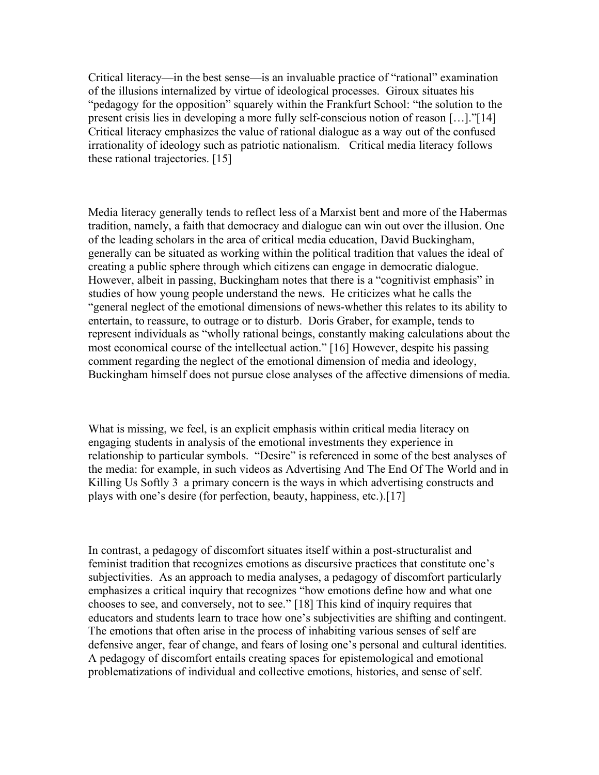Critical literacy—in the best sense—is an invaluable practice of "rational" examination of the illusions internalized by virtue of ideological processes. Giroux situates his "pedagogy for the opposition" squarely within the Frankfurt School: "the solution to the present crisis lies in developing a more fully self-conscious notion of reason […]."[14] Critical literacy emphasizes the value of rational dialogue as a way out of the confused irrationality of ideology such as patriotic nationalism. Critical media literacy follows these rational trajectories. [15]

Media literacy generally tends to reflect less of a Marxist bent and more of the Habermas tradition, namely, a faith that democracy and dialogue can win out over the illusion. One of the leading scholars in the area of critical media education, David Buckingham, generally can be situated as working within the political tradition that values the ideal of creating a public sphere through which citizens can engage in democratic dialogue. However, albeit in passing, Buckingham notes that there is a "cognitivist emphasis" in studies of how young people understand the news. He criticizes what he calls the "general neglect of the emotional dimensions of news-whether this relates to its ability to entertain, to reassure, to outrage or to disturb. Doris Graber, for example, tends to represent individuals as "wholly rational beings, constantly making calculations about the most economical course of the intellectual action." [16] However, despite his passing comment regarding the neglect of the emotional dimension of media and ideology, Buckingham himself does not pursue close analyses of the affective dimensions of media.

What is missing, we feel, is an explicit emphasis within critical media literacy on engaging students in analysis of the emotional investments they experience in relationship to particular symbols. "Desire" is referenced in some of the best analyses of the media: for example, in such videos as Advertising And The End Of The World and in Killing Us Softly 3 a primary concern is the ways in which advertising constructs and plays with one's desire (for perfection, beauty, happiness, etc.).[17]

In contrast, a pedagogy of discomfort situates itself within a post-structuralist and feminist tradition that recognizes emotions as discursive practices that constitute one's subjectivities. As an approach to media analyses, a pedagogy of discomfort particularly emphasizes a critical inquiry that recognizes "how emotions define how and what one chooses to see, and conversely, not to see." [18] This kind of inquiry requires that educators and students learn to trace how one's subjectivities are shifting and contingent. The emotions that often arise in the process of inhabiting various senses of self are defensive anger, fear of change, and fears of losing one's personal and cultural identities. A pedagogy of discomfort entails creating spaces for epistemological and emotional problematizations of individual and collective emotions, histories, and sense of self.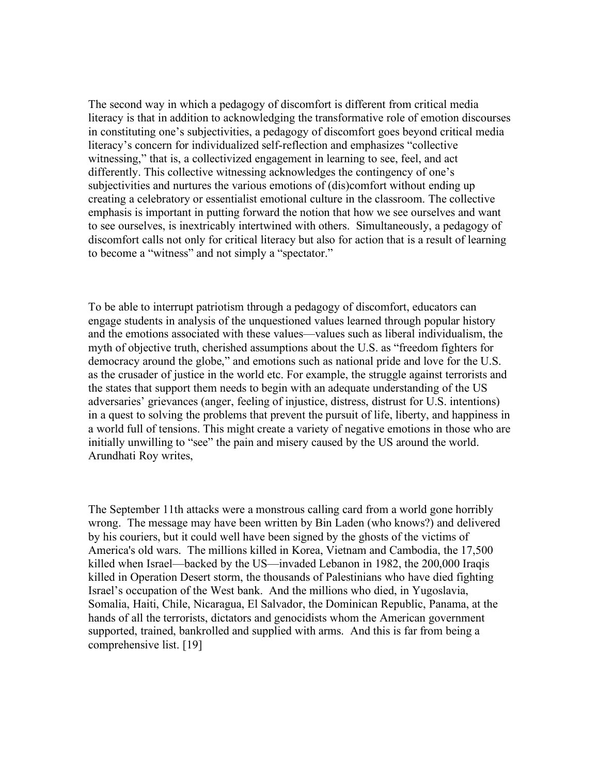The second way in which a pedagogy of discomfort is different from critical media literacy is that in addition to acknowledging the transformative role of emotion discourses in constituting one's subjectivities, a pedagogy of discomfort goes beyond critical media literacy's concern for individualized self-reflection and emphasizes "collective witnessing," that is, a collectivized engagement in learning to see, feel, and act differently. This collective witnessing acknowledges the contingency of one's subjectivities and nurtures the various emotions of (dis)comfort without ending up creating a celebratory or essentialist emotional culture in the classroom. The collective emphasis is important in putting forward the notion that how we see ourselves and want to see ourselves, is inextricably intertwined with others. Simultaneously, a pedagogy of discomfort calls not only for critical literacy but also for action that is a result of learning to become a "witness" and not simply a "spectator."

To be able to interrupt patriotism through a pedagogy of discomfort, educators can engage students in analysis of the unquestioned values learned through popular history and the emotions associated with these values—values such as liberal individualism, the myth of objective truth, cherished assumptions about the U.S. as "freedom fighters for democracy around the globe," and emotions such as national pride and love for the U.S. as the crusader of justice in the world etc. For example, the struggle against terrorists and the states that support them needs to begin with an adequate understanding of the US adversaries' grievances (anger, feeling of injustice, distress, distrust for U.S. intentions) in a quest to solving the problems that prevent the pursuit of life, liberty, and happiness in a world full of tensions. This might create a variety of negative emotions in those who are initially unwilling to "see" the pain and misery caused by the US around the world. Arundhati Roy writes,

The September 11th attacks were a monstrous calling card from a world gone horribly wrong. The message may have been written by Bin Laden (who knows?) and delivered by his couriers, but it could well have been signed by the ghosts of the victims of America's old wars. The millions killed in Korea, Vietnam and Cambodia, the 17,500 killed when Israel—backed by the US—invaded Lebanon in 1982, the 200,000 Iraqis killed in Operation Desert storm, the thousands of Palestinians who have died fighting Israel's occupation of the West bank. And the millions who died, in Yugoslavia, Somalia, Haiti, Chile, Nicaragua, El Salvador, the Dominican Republic, Panama, at the hands of all the terrorists, dictators and genocidists whom the American government supported, trained, bankrolled and supplied with arms. And this is far from being a comprehensive list. [19]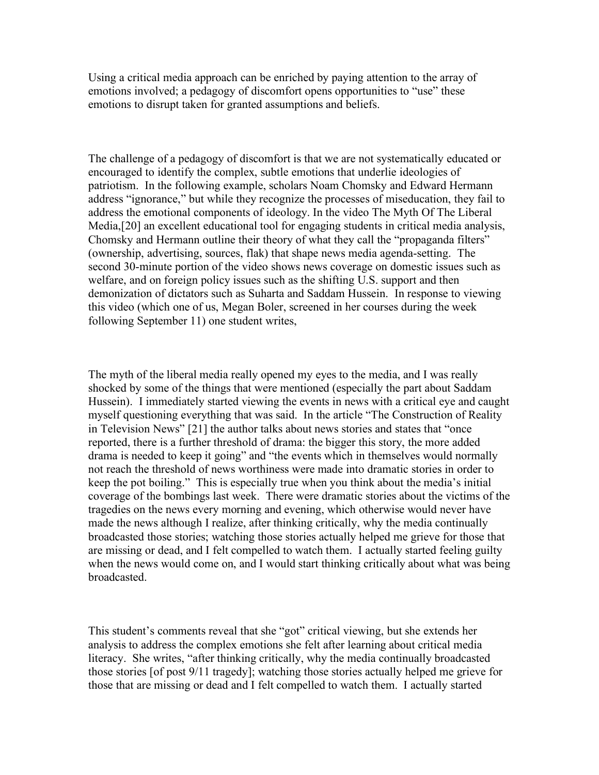Using a critical media approach can be enriched by paying attention to the array of emotions involved; a pedagogy of discomfort opens opportunities to "use" these emotions to disrupt taken for granted assumptions and beliefs.

The challenge of a pedagogy of discomfort is that we are not systematically educated or encouraged to identify the complex, subtle emotions that underlie ideologies of patriotism. In the following example, scholars Noam Chomsky and Edward Hermann address "ignorance," but while they recognize the processes of miseducation, they fail to address the emotional components of ideology. In the video The Myth Of The Liberal Media,[20] an excellent educational tool for engaging students in critical media analysis, Chomsky and Hermann outline their theory of what they call the "propaganda filters" (ownership, advertising, sources, flak) that shape news media agenda-setting. The second 30-minute portion of the video shows news coverage on domestic issues such as welfare, and on foreign policy issues such as the shifting U.S. support and then demonization of dictators such as Suharta and Saddam Hussein. In response to viewing this video (which one of us, Megan Boler, screened in her courses during the week following September 11) one student writes,

The myth of the liberal media really opened my eyes to the media, and I was really shocked by some of the things that were mentioned (especially the part about Saddam Hussein). I immediately started viewing the events in news with a critical eye and caught myself questioning everything that was said. In the article "The Construction of Reality in Television News" [21] the author talks about news stories and states that "once reported, there is a further threshold of drama: the bigger this story, the more added drama is needed to keep it going" and "the events which in themselves would normally not reach the threshold of news worthiness were made into dramatic stories in order to keep the pot boiling." This is especially true when you think about the media's initial coverage of the bombings last week. There were dramatic stories about the victims of the tragedies on the news every morning and evening, which otherwise would never have made the news although I realize, after thinking critically, why the media continually broadcasted those stories; watching those stories actually helped me grieve for those that are missing or dead, and I felt compelled to watch them. I actually started feeling guilty when the news would come on, and I would start thinking critically about what was being broadcasted.

This student's comments reveal that she "got" critical viewing, but she extends her analysis to address the complex emotions she felt after learning about critical media literacy. She writes, "after thinking critically, why the media continually broadcasted those stories [of post 9/11 tragedy]; watching those stories actually helped me grieve for those that are missing or dead and I felt compelled to watch them. I actually started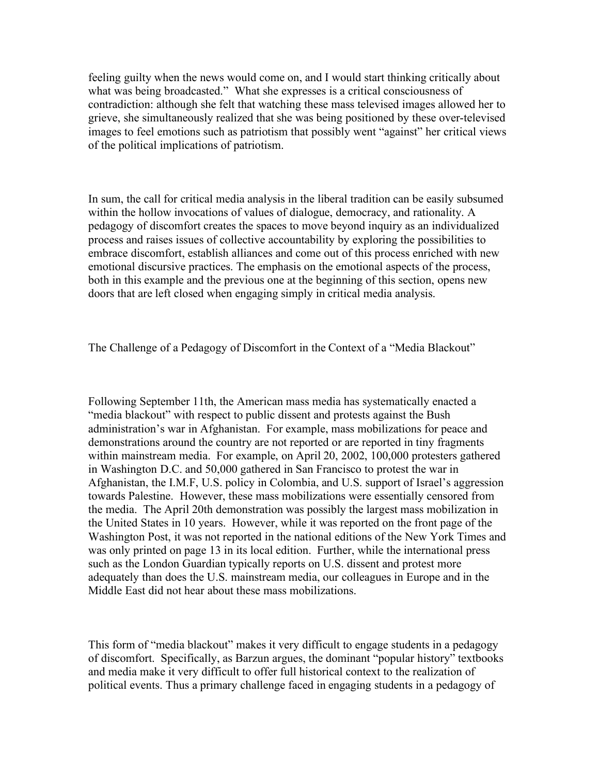feeling guilty when the news would come on, and I would start thinking critically about what was being broadcasted." What she expresses is a critical consciousness of contradiction: although she felt that watching these mass televised images allowed her to grieve, she simultaneously realized that she was being positioned by these over-televised images to feel emotions such as patriotism that possibly went "against" her critical views of the political implications of patriotism.

In sum, the call for critical media analysis in the liberal tradition can be easily subsumed within the hollow invocations of values of dialogue, democracy, and rationality. A pedagogy of discomfort creates the spaces to move beyond inquiry as an individualized process and raises issues of collective accountability by exploring the possibilities to embrace discomfort, establish alliances and come out of this process enriched with new emotional discursive practices. The emphasis on the emotional aspects of the process, both in this example and the previous one at the beginning of this section, opens new doors that are left closed when engaging simply in critical media analysis.

The Challenge of a Pedagogy of Discomfort in the Context of a "Media Blackout"

Following September 11th, the American mass media has systematically enacted a "media blackout" with respect to public dissent and protests against the Bush administration's war in Afghanistan. For example, mass mobilizations for peace and demonstrations around the country are not reported or are reported in tiny fragments within mainstream media. For example, on April 20, 2002, 100,000 protesters gathered in Washington D.C. and 50,000 gathered in San Francisco to protest the war in Afghanistan, the I.M.F, U.S. policy in Colombia, and U.S. support of Israel's aggression towards Palestine. However, these mass mobilizations were essentially censored from the media. The April 20th demonstration was possibly the largest mass mobilization in the United States in 10 years. However, while it was reported on the front page of the Washington Post, it was not reported in the national editions of the New York Times and was only printed on page 13 in its local edition. Further, while the international press such as the London Guardian typically reports on U.S. dissent and protest more adequately than does the U.S. mainstream media, our colleagues in Europe and in the Middle East did not hear about these mass mobilizations.

This form of "media blackout" makes it very difficult to engage students in a pedagogy of discomfort. Specifically, as Barzun argues, the dominant "popular history" textbooks and media make it very difficult to offer full historical context to the realization of political events. Thus a primary challenge faced in engaging students in a pedagogy of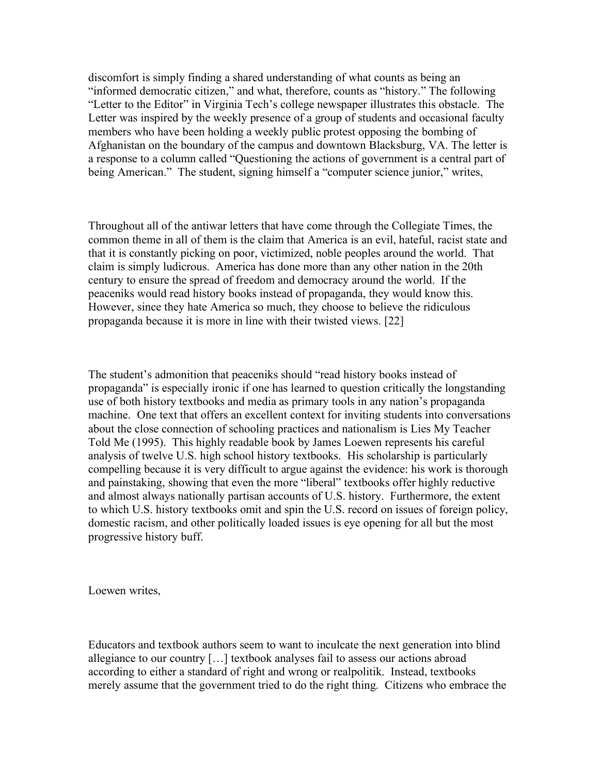discomfort is simply finding a shared understanding of what counts as being an "informed democratic citizen," and what, therefore, counts as "history." The following "Letter to the Editor" in Virginia Tech's college newspaper illustrates this obstacle. The Letter was inspired by the weekly presence of a group of students and occasional faculty members who have been holding a weekly public protest opposing the bombing of Afghanistan on the boundary of the campus and downtown Blacksburg, VA. The letter is a response to a column called "Questioning the actions of government is a central part of being American." The student, signing himself a "computer science junior," writes,

Throughout all of the antiwar letters that have come through the Collegiate Times, the common theme in all of them is the claim that America is an evil, hateful, racist state and that it is constantly picking on poor, victimized, noble peoples around the world. That claim is simply ludicrous. America has done more than any other nation in the 20th century to ensure the spread of freedom and democracy around the world. If the peaceniks would read history books instead of propaganda, they would know this. However, since they hate America so much, they choose to believe the ridiculous propaganda because it is more in line with their twisted views. [22]

The student's admonition that peaceniks should "read history books instead of propaganda" is especially ironic if one has learned to question critically the longstanding use of both history textbooks and media as primary tools in any nation's propaganda machine. One text that offers an excellent context for inviting students into conversations about the close connection of schooling practices and nationalism is Lies My Teacher Told Me (1995). This highly readable book by James Loewen represents his careful analysis of twelve U.S. high school history textbooks. His scholarship is particularly compelling because it is very difficult to argue against the evidence: his work is thorough and painstaking, showing that even the more "liberal" textbooks offer highly reductive and almost always nationally partisan accounts of U.S. history. Furthermore, the extent to which U.S. history textbooks omit and spin the U.S. record on issues of foreign policy, domestic racism, and other politically loaded issues is eye opening for all but the most progressive history buff.

Loewen writes,

Educators and textbook authors seem to want to inculcate the next generation into blind allegiance to our country […] textbook analyses fail to assess our actions abroad according to either a standard of right and wrong or realpolitik. Instead, textbooks merely assume that the government tried to do the right thing. Citizens who embrace the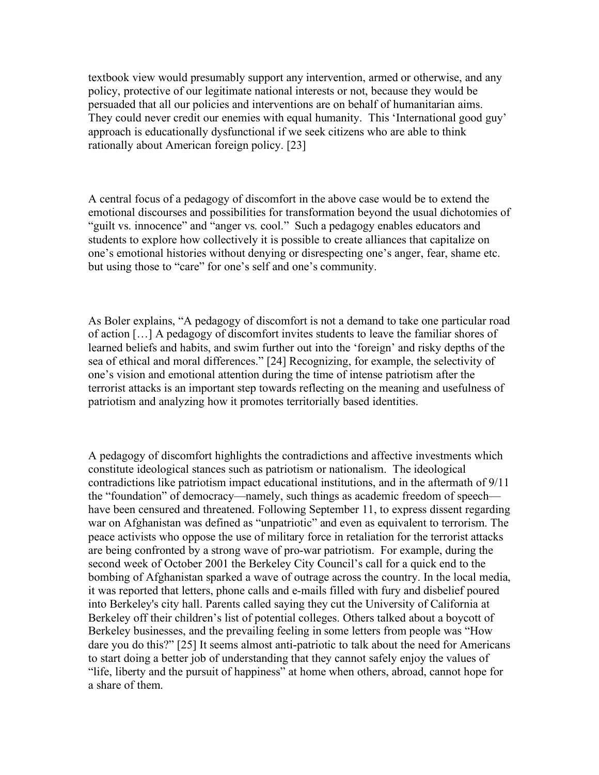textbook view would presumably support any intervention, armed or otherwise, and any policy, protective of our legitimate national interests or not, because they would be persuaded that all our policies and interventions are on behalf of humanitarian aims. They could never credit our enemies with equal humanity. This 'International good guy' approach is educationally dysfunctional if we seek citizens who are able to think rationally about American foreign policy. [23]

A central focus of a pedagogy of discomfort in the above case would be to extend the emotional discourses and possibilities for transformation beyond the usual dichotomies of "guilt vs. innocence" and "anger vs. cool." Such a pedagogy enables educators and students to explore how collectively it is possible to create alliances that capitalize on one's emotional histories without denying or disrespecting one's anger, fear, shame etc. but using those to "care" for one's self and one's community.

As Boler explains, "A pedagogy of discomfort is not a demand to take one particular road of action […] A pedagogy of discomfort invites students to leave the familiar shores of learned beliefs and habits, and swim further out into the 'foreign' and risky depths of the sea of ethical and moral differences." [24] Recognizing, for example, the selectivity of one's vision and emotional attention during the time of intense patriotism after the terrorist attacks is an important step towards reflecting on the meaning and usefulness of patriotism and analyzing how it promotes territorially based identities.

A pedagogy of discomfort highlights the contradictions and affective investments which constitute ideological stances such as patriotism or nationalism. The ideological contradictions like patriotism impact educational institutions, and in the aftermath of 9/11 the "foundation" of democracy—namely, such things as academic freedom of speech have been censured and threatened. Following September 11, to express dissent regarding war on Afghanistan was defined as "unpatriotic" and even as equivalent to terrorism. The peace activists who oppose the use of military force in retaliation for the terrorist attacks are being confronted by a strong wave of pro-war patriotism. For example, during the second week of October 2001 the Berkeley City Council's call for a quick end to the bombing of Afghanistan sparked a wave of outrage across the country. In the local media, it was reported that letters, phone calls and e-mails filled with fury and disbelief poured into Berkeley's city hall. Parents called saying they cut the University of California at Berkeley off their children's list of potential colleges. Others talked about a boycott of Berkeley businesses, and the prevailing feeling in some letters from people was "How dare you do this?" [25] It seems almost anti-patriotic to talk about the need for Americans to start doing a better job of understanding that they cannot safely enjoy the values of "life, liberty and the pursuit of happiness" at home when others, abroad, cannot hope for a share of them.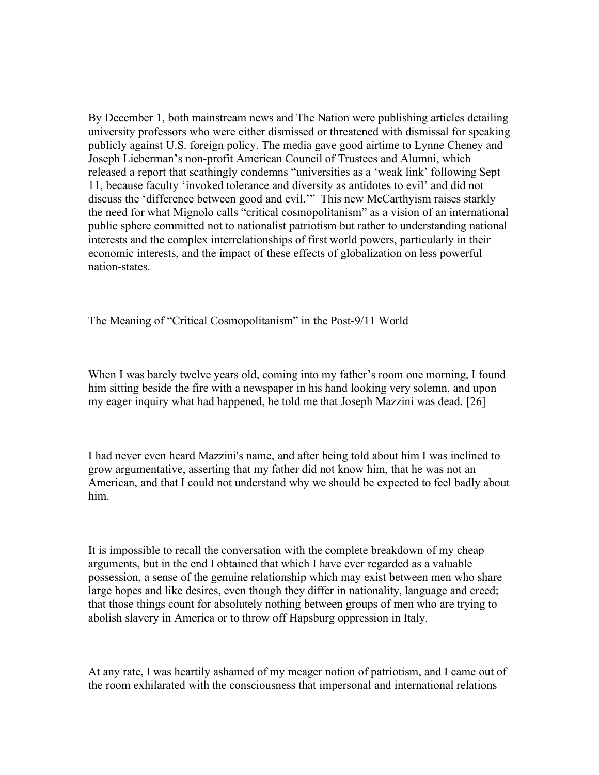By December 1, both mainstream news and The Nation were publishing articles detailing university professors who were either dismissed or threatened with dismissal for speaking publicly against U.S. foreign policy. The media gave good airtime to Lynne Cheney and Joseph Lieberman's non-profit American Council of Trustees and Alumni, which released a report that scathingly condemns "universities as a 'weak link' following Sept 11, because faculty 'invoked tolerance and diversity as antidotes to evil' and did not discuss the 'difference between good and evil.'" This new McCarthyism raises starkly the need for what Mignolo calls "critical cosmopolitanism" as a vision of an international public sphere committed not to nationalist patriotism but rather to understanding national interests and the complex interrelationships of first world powers, particularly in their economic interests, and the impact of these effects of globalization on less powerful nation-states.

The Meaning of "Critical Cosmopolitanism" in the Post-9/11 World

When I was barely twelve years old, coming into my father's room one morning, I found him sitting beside the fire with a newspaper in his hand looking very solemn, and upon my eager inquiry what had happened, he told me that Joseph Mazzini was dead. [26]

I had never even heard Mazzini's name, and after being told about him I was inclined to grow argumentative, asserting that my father did not know him, that he was not an American, and that I could not understand why we should be expected to feel badly about him.

It is impossible to recall the conversation with the complete breakdown of my cheap arguments, but in the end I obtained that which I have ever regarded as a valuable possession, a sense of the genuine relationship which may exist between men who share large hopes and like desires, even though they differ in nationality, language and creed; that those things count for absolutely nothing between groups of men who are trying to abolish slavery in America or to throw off Hapsburg oppression in Italy.

At any rate, I was heartily ashamed of my meager notion of patriotism, and I came out of the room exhilarated with the consciousness that impersonal and international relations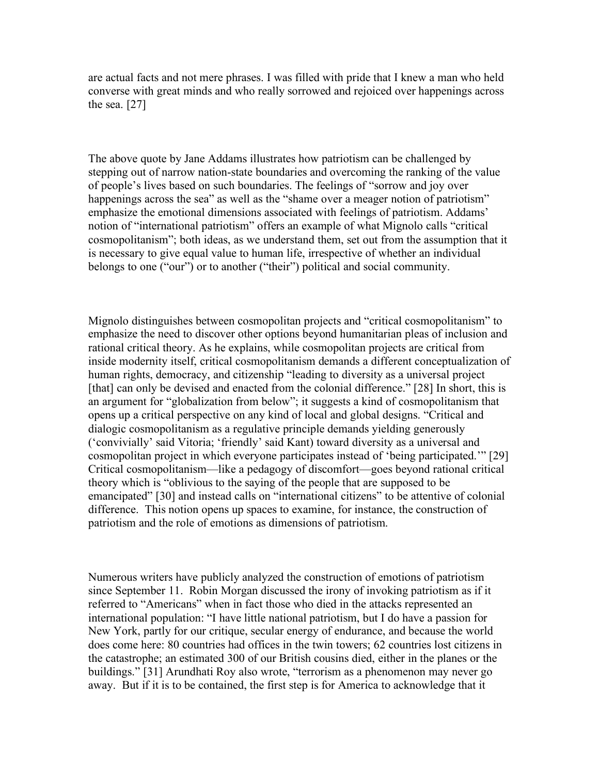are actual facts and not mere phrases. I was filled with pride that I knew a man who held converse with great minds and who really sorrowed and rejoiced over happenings across the sea. [27]

The above quote by Jane Addams illustrates how patriotism can be challenged by stepping out of narrow nation-state boundaries and overcoming the ranking of the value of people's lives based on such boundaries. The feelings of "sorrow and joy over happenings across the sea" as well as the "shame over a meager notion of patriotism" emphasize the emotional dimensions associated with feelings of patriotism. Addams' notion of "international patriotism" offers an example of what Mignolo calls "critical cosmopolitanism"; both ideas, as we understand them, set out from the assumption that it is necessary to give equal value to human life, irrespective of whether an individual belongs to one ("our") or to another ("their") political and social community.

Mignolo distinguishes between cosmopolitan projects and "critical cosmopolitanism" to emphasize the need to discover other options beyond humanitarian pleas of inclusion and rational critical theory. As he explains, while cosmopolitan projects are critical from inside modernity itself, critical cosmopolitanism demands a different conceptualization of human rights, democracy, and citizenship "leading to diversity as a universal project [that] can only be devised and enacted from the colonial difference." [28] In short, this is an argument for "globalization from below"; it suggests a kind of cosmopolitanism that opens up a critical perspective on any kind of local and global designs. "Critical and dialogic cosmopolitanism as a regulative principle demands yielding generously ('convivially' said Vitoria; 'friendly' said Kant) toward diversity as a universal and cosmopolitan project in which everyone participates instead of 'being participated.'" [29] Critical cosmopolitanism—like a pedagogy of discomfort—goes beyond rational critical theory which is "oblivious to the saying of the people that are supposed to be emancipated" [30] and instead calls on "international citizens" to be attentive of colonial difference. This notion opens up spaces to examine, for instance, the construction of patriotism and the role of emotions as dimensions of patriotism.

Numerous writers have publicly analyzed the construction of emotions of patriotism since September 11. Robin Morgan discussed the irony of invoking patriotism as if it referred to "Americans" when in fact those who died in the attacks represented an international population: "I have little national patriotism, but I do have a passion for New York, partly for our critique, secular energy of endurance, and because the world does come here: 80 countries had offices in the twin towers; 62 countries lost citizens in the catastrophe; an estimated 300 of our British cousins died, either in the planes or the buildings." [31] Arundhati Roy also wrote, "terrorism as a phenomenon may never go away. But if it is to be contained, the first step is for America to acknowledge that it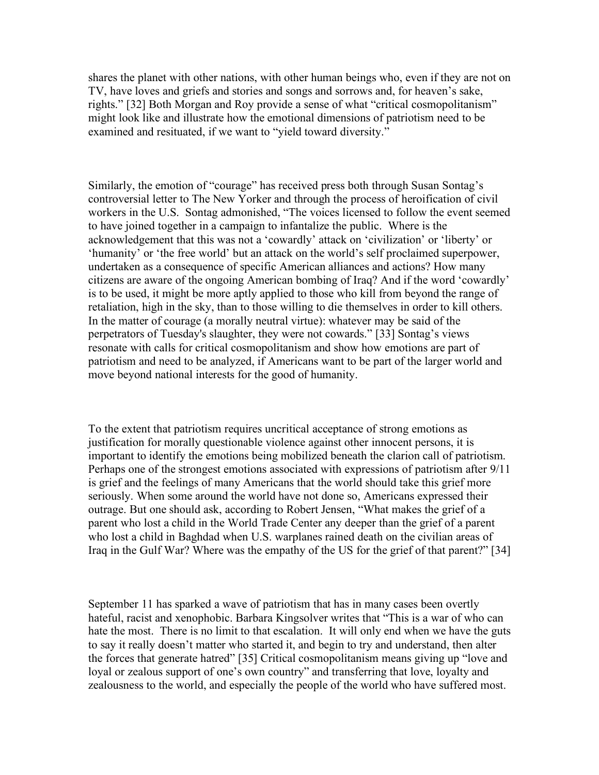shares the planet with other nations, with other human beings who, even if they are not on TV, have loves and griefs and stories and songs and sorrows and, for heaven's sake, rights." [32] Both Morgan and Roy provide a sense of what "critical cosmopolitanism" might look like and illustrate how the emotional dimensions of patriotism need to be examined and resituated, if we want to "yield toward diversity."

Similarly, the emotion of "courage" has received press both through Susan Sontag's controversial letter to The New Yorker and through the process of heroification of civil workers in the U.S. Sontag admonished, "The voices licensed to follow the event seemed to have joined together in a campaign to infantalize the public. Where is the acknowledgement that this was not a 'cowardly' attack on 'civilization' or 'liberty' or 'humanity' or 'the free world' but an attack on the world's self proclaimed superpower, undertaken as a consequence of specific American alliances and actions? How many citizens are aware of the ongoing American bombing of Iraq? And if the word 'cowardly' is to be used, it might be more aptly applied to those who kill from beyond the range of retaliation, high in the sky, than to those willing to die themselves in order to kill others. In the matter of courage (a morally neutral virtue): whatever may be said of the perpetrators of Tuesday's slaughter, they were not cowards." [33] Sontag's views resonate with calls for critical cosmopolitanism and show how emotions are part of patriotism and need to be analyzed, if Americans want to be part of the larger world and move beyond national interests for the good of humanity.

To the extent that patriotism requires uncritical acceptance of strong emotions as justification for morally questionable violence against other innocent persons, it is important to identify the emotions being mobilized beneath the clarion call of patriotism. Perhaps one of the strongest emotions associated with expressions of patriotism after 9/11 is grief and the feelings of many Americans that the world should take this grief more seriously. When some around the world have not done so, Americans expressed their outrage. But one should ask, according to Robert Jensen, "What makes the grief of a parent who lost a child in the World Trade Center any deeper than the grief of a parent who lost a child in Baghdad when U.S. warplanes rained death on the civilian areas of Iraq in the Gulf War? Where was the empathy of the US for the grief of that parent?" [34]

September 11 has sparked a wave of patriotism that has in many cases been overtly hateful, racist and xenophobic. Barbara Kingsolver writes that "This is a war of who can hate the most. There is no limit to that escalation. It will only end when we have the guts to say it really doesn't matter who started it, and begin to try and understand, then alter the forces that generate hatred" [35] Critical cosmopolitanism means giving up "love and loyal or zealous support of one's own country" and transferring that love, loyalty and zealousness to the world, and especially the people of the world who have suffered most.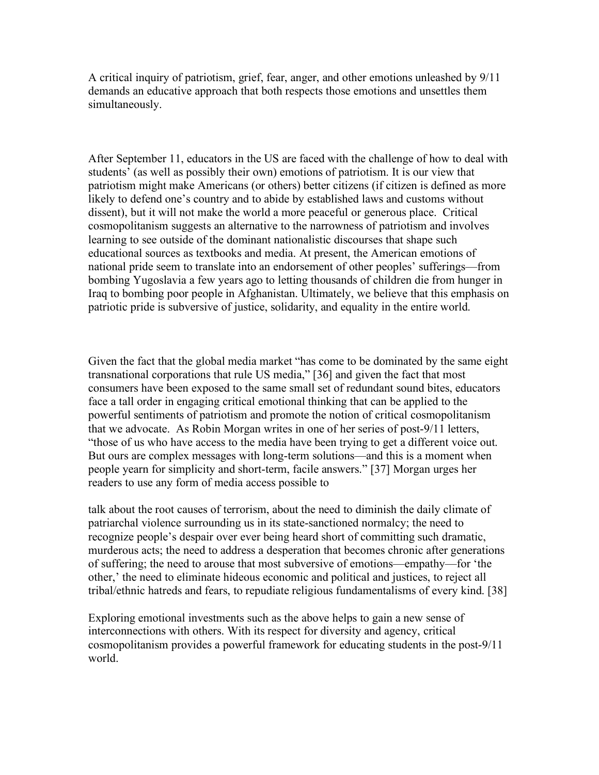A critical inquiry of patriotism, grief, fear, anger, and other emotions unleashed by 9/11 demands an educative approach that both respects those emotions and unsettles them simultaneously.

After September 11, educators in the US are faced with the challenge of how to deal with students' (as well as possibly their own) emotions of patriotism. It is our view that patriotism might make Americans (or others) better citizens (if citizen is defined as more likely to defend one's country and to abide by established laws and customs without dissent), but it will not make the world a more peaceful or generous place. Critical cosmopolitanism suggests an alternative to the narrowness of patriotism and involves learning to see outside of the dominant nationalistic discourses that shape such educational sources as textbooks and media. At present, the American emotions of national pride seem to translate into an endorsement of other peoples' sufferings—from bombing Yugoslavia a few years ago to letting thousands of children die from hunger in Iraq to bombing poor people in Afghanistan. Ultimately, we believe that this emphasis on patriotic pride is subversive of justice, solidarity, and equality in the entire world.

Given the fact that the global media market "has come to be dominated by the same eight transnational corporations that rule US media," [36] and given the fact that most consumers have been exposed to the same small set of redundant sound bites, educators face a tall order in engaging critical emotional thinking that can be applied to the powerful sentiments of patriotism and promote the notion of critical cosmopolitanism that we advocate. As Robin Morgan writes in one of her series of post-9/11 letters, "those of us who have access to the media have been trying to get a different voice out. But ours are complex messages with long-term solutions—and this is a moment when people yearn for simplicity and short-term, facile answers." [37] Morgan urges her readers to use any form of media access possible to

talk about the root causes of terrorism, about the need to diminish the daily climate of patriarchal violence surrounding us in its state-sanctioned normalcy; the need to recognize people's despair over ever being heard short of committing such dramatic, murderous acts; the need to address a desperation that becomes chronic after generations of suffering; the need to arouse that most subversive of emotions—empathy—for 'the other,' the need to eliminate hideous economic and political and justices, to reject all tribal/ethnic hatreds and fears, to repudiate religious fundamentalisms of every kind. [38]

Exploring emotional investments such as the above helps to gain a new sense of interconnections with others. With its respect for diversity and agency, critical cosmopolitanism provides a powerful framework for educating students in the post-9/11 world.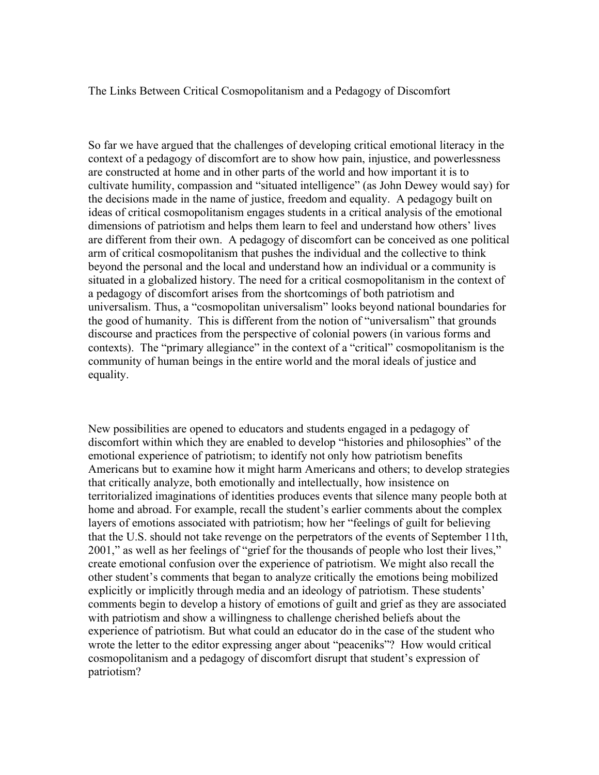The Links Between Critical Cosmopolitanism and a Pedagogy of Discomfort

So far we have argued that the challenges of developing critical emotional literacy in the context of a pedagogy of discomfort are to show how pain, injustice, and powerlessness are constructed at home and in other parts of the world and how important it is to cultivate humility, compassion and "situated intelligence" (as John Dewey would say) for the decisions made in the name of justice, freedom and equality. A pedagogy built on ideas of critical cosmopolitanism engages students in a critical analysis of the emotional dimensions of patriotism and helps them learn to feel and understand how others' lives are different from their own. A pedagogy of discomfort can be conceived as one political arm of critical cosmopolitanism that pushes the individual and the collective to think beyond the personal and the local and understand how an individual or a community is situated in a globalized history. The need for a critical cosmopolitanism in the context of a pedagogy of discomfort arises from the shortcomings of both patriotism and universalism. Thus, a "cosmopolitan universalism" looks beyond national boundaries for the good of humanity. This is different from the notion of "universalism" that grounds discourse and practices from the perspective of colonial powers (in various forms and contexts). The "primary allegiance" in the context of a "critical" cosmopolitanism is the community of human beings in the entire world and the moral ideals of justice and equality.

New possibilities are opened to educators and students engaged in a pedagogy of discomfort within which they are enabled to develop "histories and philosophies" of the emotional experience of patriotism; to identify not only how patriotism benefits Americans but to examine how it might harm Americans and others; to develop strategies that critically analyze, both emotionally and intellectually, how insistence on territorialized imaginations of identities produces events that silence many people both at home and abroad. For example, recall the student's earlier comments about the complex layers of emotions associated with patriotism; how her "feelings of guilt for believing that the U.S. should not take revenge on the perpetrators of the events of September 11th, 2001," as well as her feelings of "grief for the thousands of people who lost their lives," create emotional confusion over the experience of patriotism. We might also recall the other student's comments that began to analyze critically the emotions being mobilized explicitly or implicitly through media and an ideology of patriotism. These students' comments begin to develop a history of emotions of guilt and grief as they are associated with patriotism and show a willingness to challenge cherished beliefs about the experience of patriotism. But what could an educator do in the case of the student who wrote the letter to the editor expressing anger about "peaceniks"? How would critical cosmopolitanism and a pedagogy of discomfort disrupt that student's expression of patriotism?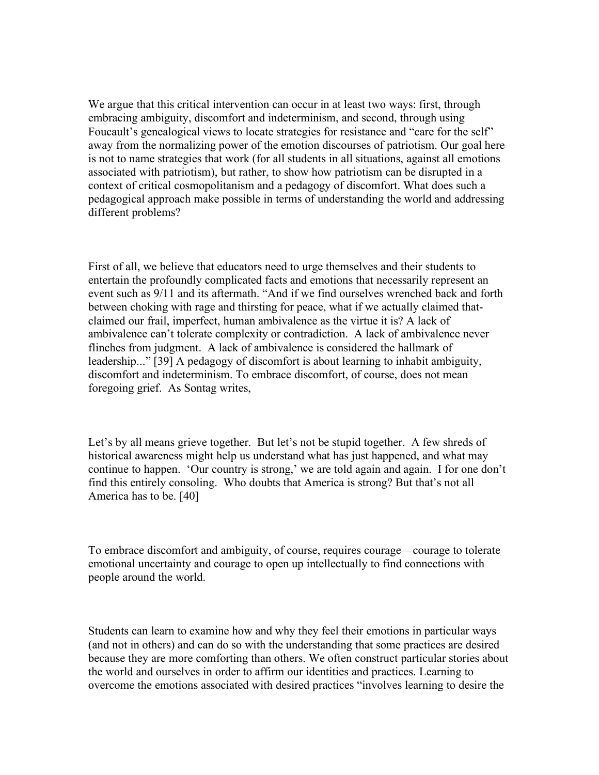We argue that this critical intervention can occur in at least two ways: first, through embracing ambiguity, discomfort and indeterminism, and second, through using Foucault's genealogical views to locate strategies for resistance and "care for the self" away from the normalizing power of the emotion discourses of patriotism. Our goal here is not to name strategies that work (for all students in all situations, against all emotions associated with patriotism), but rather, to show how patriotism can be disrupted in a context of critical cosmopolitanism and a pedagogy of discomfort. What does such a pedagogical approach make possible in terms of understanding the world and addressing different problems?

First of all, we believe that educators need to urge themselves and their students to entertain the profoundly complicated facts and emotions that necessarily represent an event such as 9/11 and its aftermath. "And if we find ourselves wrenched back and forth between choking with rage and thirsting for peace, what if we actually claimed thatclaimed our frail, imperfect, human ambivalence as the virtue it is? A lack of ambivalence can't tolerate complexity or contradiction. A lack of ambivalence never flinches from judgment. A lack of ambivalence is considered the hallmark of leadership..." [39] A pedagogy of discomfort is about learning to inhabit ambiguity, discomfort and indeterminism. To embrace discomfort, of course, does not mean foregoing grief. As Sontag writes,

Let's by all means grieve together. But let's not be stupid together. A few shreds of historical awareness might help us understand what has just happened, and what may continue to happen. 'Our country is strong,' we are told again and again. I for one don't find this entirely consoling. Who doubts that America is strong? But that's not all America has to be. [40]

To embrace discomfort and ambiguity, of course, requires courage—courage to tolerate emotional uncertainty and courage to open up intellectually to find connections with people around the world.

Students can learn to examine how and why they feel their emotions in particular ways (and not in others) and can do so with the understanding that some practices are desired because they are more comforting than others. We often construct particular stories about the world and ourselves in order to affirm our identities and practices. Learning to overcome the emotions associated with desired practices "involves learning to desire the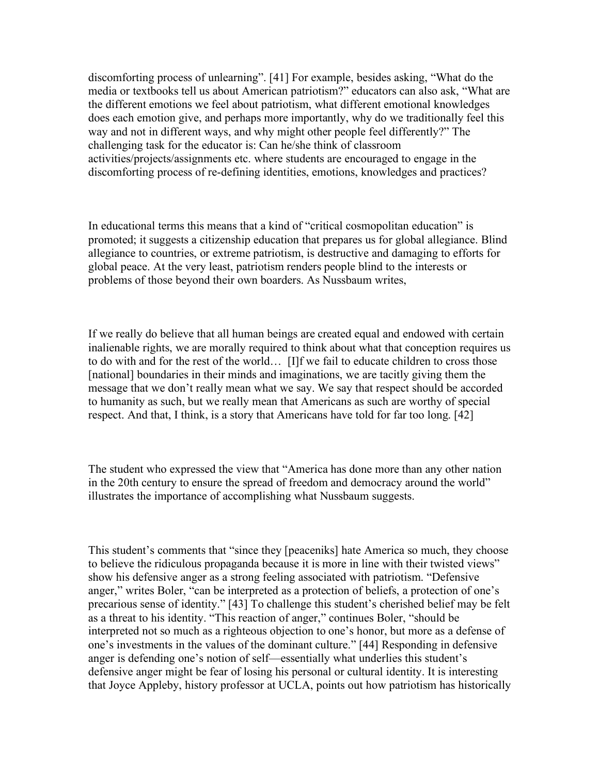discomforting process of unlearning". [41] For example, besides asking, "What do the media or textbooks tell us about American patriotism?" educators can also ask, "What are the different emotions we feel about patriotism, what different emotional knowledges does each emotion give, and perhaps more importantly, why do we traditionally feel this way and not in different ways, and why might other people feel differently?" The challenging task for the educator is: Can he/she think of classroom activities/projects/assignments etc. where students are encouraged to engage in the discomforting process of re-defining identities, emotions, knowledges and practices?

In educational terms this means that a kind of "critical cosmopolitan education" is promoted; it suggests a citizenship education that prepares us for global allegiance. Blind allegiance to countries, or extreme patriotism, is destructive and damaging to efforts for global peace. At the very least, patriotism renders people blind to the interests or problems of those beyond their own boarders. As Nussbaum writes,

If we really do believe that all human beings are created equal and endowed with certain inalienable rights, we are morally required to think about what that conception requires us to do with and for the rest of the world… [I]f we fail to educate children to cross those [national] boundaries in their minds and imaginations, we are tacitly giving them the message that we don't really mean what we say. We say that respect should be accorded to humanity as such, but we really mean that Americans as such are worthy of special respect. And that, I think, is a story that Americans have told for far too long. [42]

The student who expressed the view that "America has done more than any other nation in the 20th century to ensure the spread of freedom and democracy around the world" illustrates the importance of accomplishing what Nussbaum suggests.

This student's comments that "since they [peaceniks] hate America so much, they choose to believe the ridiculous propaganda because it is more in line with their twisted views" show his defensive anger as a strong feeling associated with patriotism. "Defensive anger," writes Boler, "can be interpreted as a protection of beliefs, a protection of one's precarious sense of identity." [43] To challenge this student's cherished belief may be felt as a threat to his identity. "This reaction of anger," continues Boler, "should be interpreted not so much as a righteous objection to one's honor, but more as a defense of one's investments in the values of the dominant culture." [44] Responding in defensive anger is defending one's notion of self—essentially what underlies this student's defensive anger might be fear of losing his personal or cultural identity. It is interesting that Joyce Appleby, history professor at UCLA, points out how patriotism has historically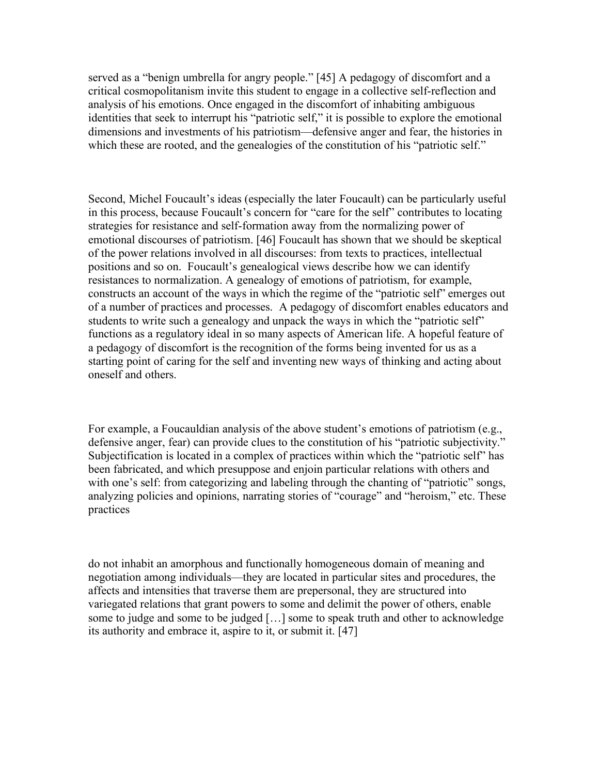served as a "benign umbrella for angry people." [45] A pedagogy of discomfort and a critical cosmopolitanism invite this student to engage in a collective self-reflection and analysis of his emotions. Once engaged in the discomfort of inhabiting ambiguous identities that seek to interrupt his "patriotic self," it is possible to explore the emotional dimensions and investments of his patriotism—defensive anger and fear, the histories in which these are rooted, and the genealogies of the constitution of his "patriotic self."

Second, Michel Foucault's ideas (especially the later Foucault) can be particularly useful in this process, because Foucault's concern for "care for the self" contributes to locating strategies for resistance and self-formation away from the normalizing power of emotional discourses of patriotism. [46] Foucault has shown that we should be skeptical of the power relations involved in all discourses: from texts to practices, intellectual positions and so on. Foucault's genealogical views describe how we can identify resistances to normalization. A genealogy of emotions of patriotism, for example, constructs an account of the ways in which the regime of the "patriotic self" emerges out of a number of practices and processes. A pedagogy of discomfort enables educators and students to write such a genealogy and unpack the ways in which the "patriotic self" functions as a regulatory ideal in so many aspects of American life. A hopeful feature of a pedagogy of discomfort is the recognition of the forms being invented for us as a starting point of caring for the self and inventing new ways of thinking and acting about oneself and others.

For example, a Foucauldian analysis of the above student's emotions of patriotism (e.g., defensive anger, fear) can provide clues to the constitution of his "patriotic subjectivity." Subjectification is located in a complex of practices within which the "patriotic self" has been fabricated, and which presuppose and enjoin particular relations with others and with one's self: from categorizing and labeling through the chanting of "patriotic" songs, analyzing policies and opinions, narrating stories of "courage" and "heroism," etc. These practices

do not inhabit an amorphous and functionally homogeneous domain of meaning and negotiation among individuals—they are located in particular sites and procedures, the affects and intensities that traverse them are prepersonal, they are structured into variegated relations that grant powers to some and delimit the power of others, enable some to judge and some to be judged […] some to speak truth and other to acknowledge its authority and embrace it, aspire to it, or submit it. [47]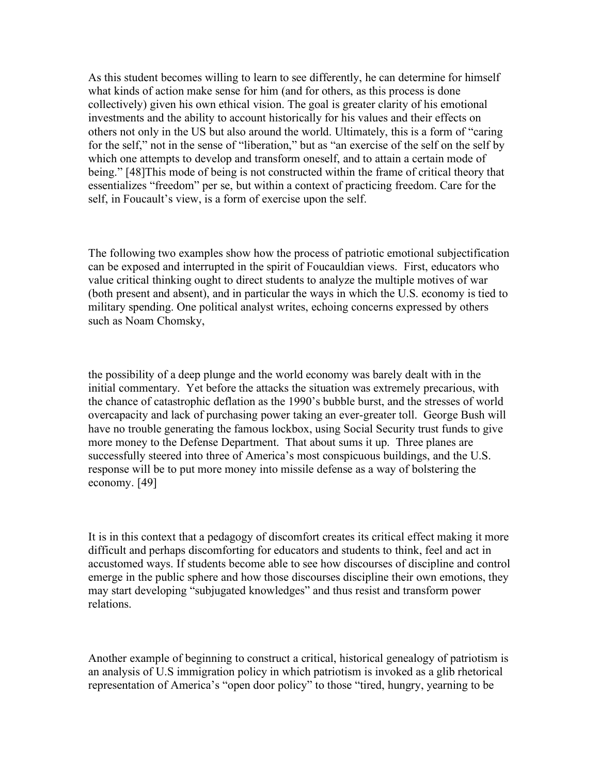As this student becomes willing to learn to see differently, he can determine for himself what kinds of action make sense for him (and for others, as this process is done collectively) given his own ethical vision. The goal is greater clarity of his emotional investments and the ability to account historically for his values and their effects on others not only in the US but also around the world. Ultimately, this is a form of "caring for the self," not in the sense of "liberation," but as "an exercise of the self on the self by which one attempts to develop and transform oneself, and to attain a certain mode of being." [48]This mode of being is not constructed within the frame of critical theory that essentializes "freedom" per se, but within a context of practicing freedom. Care for the self, in Foucault's view, is a form of exercise upon the self.

The following two examples show how the process of patriotic emotional subjectification can be exposed and interrupted in the spirit of Foucauldian views. First, educators who value critical thinking ought to direct students to analyze the multiple motives of war (both present and absent), and in particular the ways in which the U.S. economy is tied to military spending. One political analyst writes, echoing concerns expressed by others such as Noam Chomsky,

the possibility of a deep plunge and the world economy was barely dealt with in the initial commentary. Yet before the attacks the situation was extremely precarious, with the chance of catastrophic deflation as the 1990's bubble burst, and the stresses of world overcapacity and lack of purchasing power taking an ever-greater toll. George Bush will have no trouble generating the famous lockbox, using Social Security trust funds to give more money to the Defense Department. That about sums it up. Three planes are successfully steered into three of America's most conspicuous buildings, and the U.S. response will be to put more money into missile defense as a way of bolstering the economy. [49]

It is in this context that a pedagogy of discomfort creates its critical effect making it more difficult and perhaps discomforting for educators and students to think, feel and act in accustomed ways. If students become able to see how discourses of discipline and control emerge in the public sphere and how those discourses discipline their own emotions, they may start developing "subjugated knowledges" and thus resist and transform power relations.

Another example of beginning to construct a critical, historical genealogy of patriotism is an analysis of U.S immigration policy in which patriotism is invoked as a glib rhetorical representation of America's "open door policy" to those "tired, hungry, yearning to be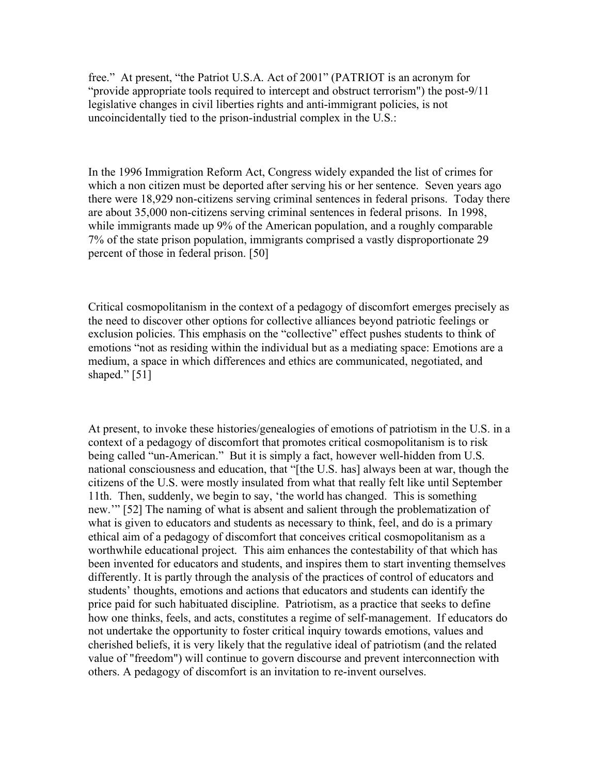free." At present, "the Patriot U.S.A. Act of 2001" (PATRIOT is an acronym for "provide appropriate tools required to intercept and obstruct terrorism") the post-9/11 legislative changes in civil liberties rights and anti-immigrant policies, is not uncoincidentally tied to the prison-industrial complex in the U.S.:

In the 1996 Immigration Reform Act, Congress widely expanded the list of crimes for which a non citizen must be deported after serving his or her sentence. Seven years ago there were 18,929 non-citizens serving criminal sentences in federal prisons. Today there are about 35,000 non-citizens serving criminal sentences in federal prisons. In 1998, while immigrants made up 9% of the American population, and a roughly comparable 7% of the state prison population, immigrants comprised a vastly disproportionate 29 percent of those in federal prison. [50]

Critical cosmopolitanism in the context of a pedagogy of discomfort emerges precisely as the need to discover other options for collective alliances beyond patriotic feelings or exclusion policies. This emphasis on the "collective" effect pushes students to think of emotions "not as residing within the individual but as a mediating space: Emotions are a medium, a space in which differences and ethics are communicated, negotiated, and shaped." [51]

At present, to invoke these histories/genealogies of emotions of patriotism in the U.S. in a context of a pedagogy of discomfort that promotes critical cosmopolitanism is to risk being called "un-American." But it is simply a fact, however well-hidden from U.S. national consciousness and education, that "[the U.S. has] always been at war, though the citizens of the U.S. were mostly insulated from what that really felt like until September 11th. Then, suddenly, we begin to say, 'the world has changed. This is something new.'" [52] The naming of what is absent and salient through the problematization of what is given to educators and students as necessary to think, feel, and do is a primary ethical aim of a pedagogy of discomfort that conceives critical cosmopolitanism as a worthwhile educational project. This aim enhances the contestability of that which has been invented for educators and students, and inspires them to start inventing themselves differently. It is partly through the analysis of the practices of control of educators and students' thoughts, emotions and actions that educators and students can identify the price paid for such habituated discipline. Patriotism, as a practice that seeks to define how one thinks, feels, and acts, constitutes a regime of self-management. If educators do not undertake the opportunity to foster critical inquiry towards emotions, values and cherished beliefs, it is very likely that the regulative ideal of patriotism (and the related value of "freedom") will continue to govern discourse and prevent interconnection with others. A pedagogy of discomfort is an invitation to re-invent ourselves.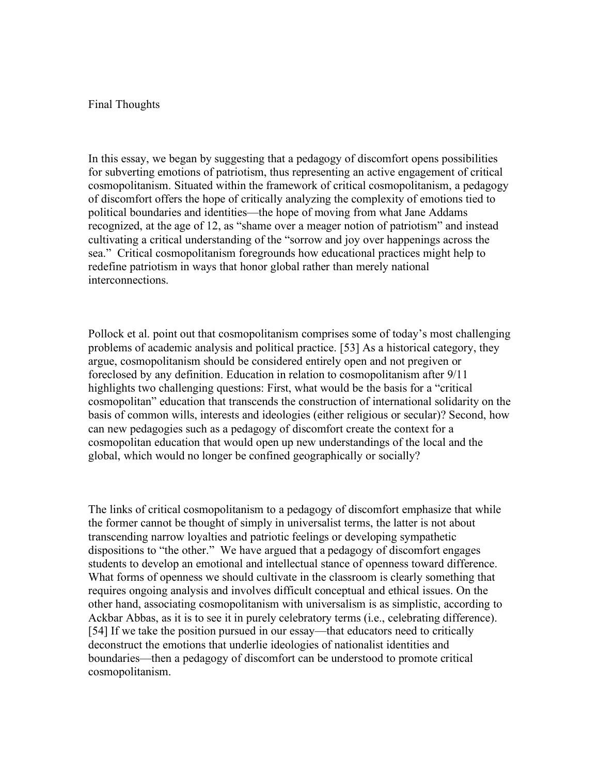## Final Thoughts

In this essay, we began by suggesting that a pedagogy of discomfort opens possibilities for subverting emotions of patriotism, thus representing an active engagement of critical cosmopolitanism. Situated within the framework of critical cosmopolitanism, a pedagogy of discomfort offers the hope of critically analyzing the complexity of emotions tied to political boundaries and identities—the hope of moving from what Jane Addams recognized, at the age of 12, as "shame over a meager notion of patriotism" and instead cultivating a critical understanding of the "sorrow and joy over happenings across the sea." Critical cosmopolitanism foregrounds how educational practices might help to redefine patriotism in ways that honor global rather than merely national interconnections.

Pollock et al. point out that cosmopolitanism comprises some of today's most challenging problems of academic analysis and political practice. [53] As a historical category, they argue, cosmopolitanism should be considered entirely open and not pregiven or foreclosed by any definition. Education in relation to cosmopolitanism after 9/11 highlights two challenging questions: First, what would be the basis for a "critical cosmopolitan" education that transcends the construction of international solidarity on the basis of common wills, interests and ideologies (either religious or secular)? Second, how can new pedagogies such as a pedagogy of discomfort create the context for a cosmopolitan education that would open up new understandings of the local and the global, which would no longer be confined geographically or socially?

The links of critical cosmopolitanism to a pedagogy of discomfort emphasize that while the former cannot be thought of simply in universalist terms, the latter is not about transcending narrow loyalties and patriotic feelings or developing sympathetic dispositions to "the other." We have argued that a pedagogy of discomfort engages students to develop an emotional and intellectual stance of openness toward difference. What forms of openness we should cultivate in the classroom is clearly something that requires ongoing analysis and involves difficult conceptual and ethical issues. On the other hand, associating cosmopolitanism with universalism is as simplistic, according to Ackbar Abbas, as it is to see it in purely celebratory terms (i.e., celebrating difference). [54] If we take the position pursued in our essay—that educators need to critically deconstruct the emotions that underlie ideologies of nationalist identities and boundaries—then a pedagogy of discomfort can be understood to promote critical cosmopolitanism.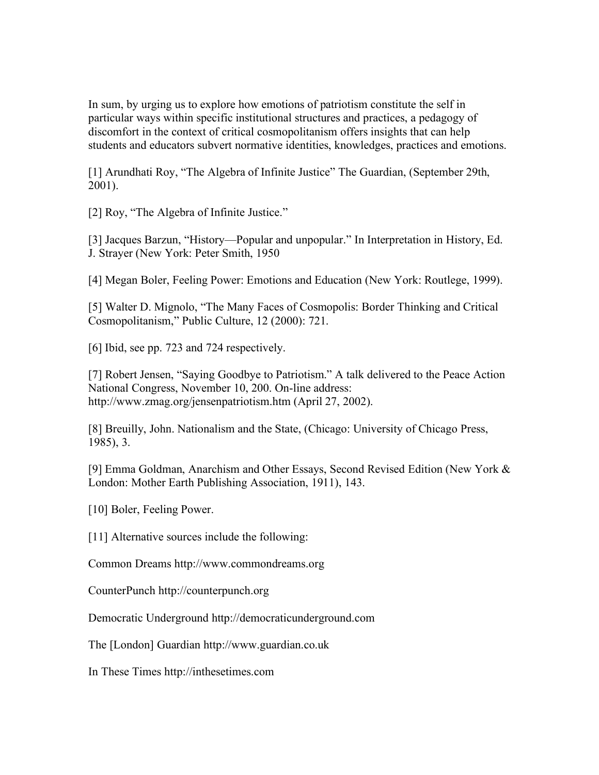In sum, by urging us to explore how emotions of patriotism constitute the self in particular ways within specific institutional structures and practices, a pedagogy of discomfort in the context of critical cosmopolitanism offers insights that can help students and educators subvert normative identities, knowledges, practices and emotions.

[1] Arundhati Roy, "The Algebra of Infinite Justice" The Guardian, (September 29th, 2001).

[2] Roy, "The Algebra of Infinite Justice."

[3] Jacques Barzun, "History—Popular and unpopular." In Interpretation in History, Ed. J. Strayer (New York: Peter Smith, 1950

[4] Megan Boler, Feeling Power: Emotions and Education (New York: Routlege, 1999).

[5] Walter D. Mignolo, "The Many Faces of Cosmopolis: Border Thinking and Critical Cosmopolitanism," Public Culture, 12 (2000): 721.

[6] Ibid, see pp. 723 and 724 respectively.

[7] Robert Jensen, "Saying Goodbye to Patriotism." A talk delivered to the Peace Action National Congress, November 10, 200. On-line address: http://www.zmag.org/jensenpatriotism.htm (April 27, 2002).

[8] Breuilly, John. Nationalism and the State, (Chicago: University of Chicago Press, 1985), 3.

[9] Emma Goldman, Anarchism and Other Essays, Second Revised Edition (New York & London: Mother Earth Publishing Association, 1911), 143.

[10] Boler, Feeling Power.

[11] Alternative sources include the following:

Common Dreams http://www.commondreams.org

CounterPunch http://counterpunch.org

Democratic Underground http://democraticunderground.com

The [London] Guardian http://www.guardian.co.uk

In These Times http://inthesetimes.com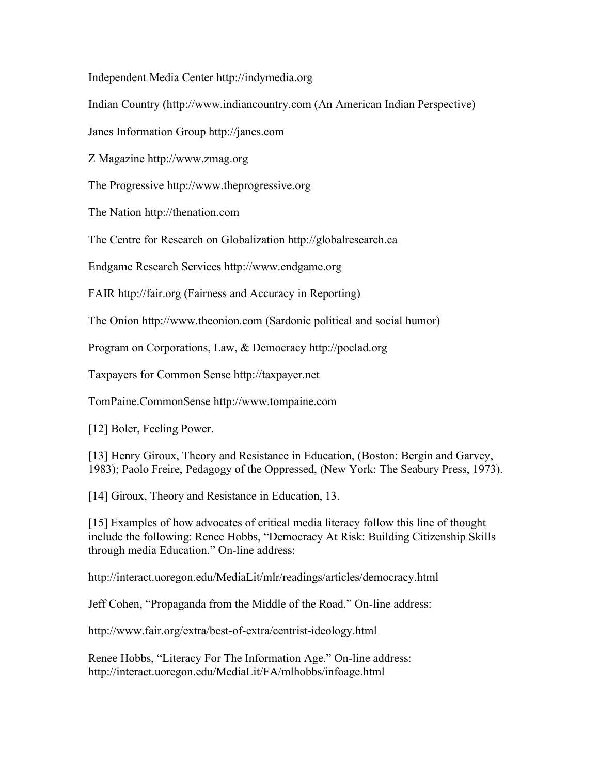Independent Media Center http://indymedia.org

Indian Country (http://www.indiancountry.com (An American Indian Perspective)

Janes Information Group http://janes.com

Z Magazine http://www.zmag.org

The Progressive http://www.theprogressive.org

The Nation http://thenation.com

The Centre for Research on Globalization http://globalresearch.ca

Endgame Research Services http://www.endgame.org

FAIR http://fair.org (Fairness and Accuracy in Reporting)

The Onion http://www.theonion.com (Sardonic political and social humor)

Program on Corporations, Law, & Democracy http://poclad.org

Taxpayers for Common Sense http://taxpayer.net

TomPaine.CommonSense http://www.tompaine.com

[12] Boler, Feeling Power.

[13] Henry Giroux, Theory and Resistance in Education, (Boston: Bergin and Garvey, 1983); Paolo Freire, Pedagogy of the Oppressed, (New York: The Seabury Press, 1973).

[14] Giroux, Theory and Resistance in Education, 13.

[15] Examples of how advocates of critical media literacy follow this line of thought include the following: Renee Hobbs, "Democracy At Risk: Building Citizenship Skills through media Education." On-line address:

http://interact.uoregon.edu/MediaLit/mlr/readings/articles/democracy.html

Jeff Cohen, "Propaganda from the Middle of the Road." On-line address:

http://www.fair.org/extra/best-of-extra/centrist-ideology.html

Renee Hobbs, "Literacy For The Information Age." On-line address: http://interact.uoregon.edu/MediaLit/FA/mlhobbs/infoage.html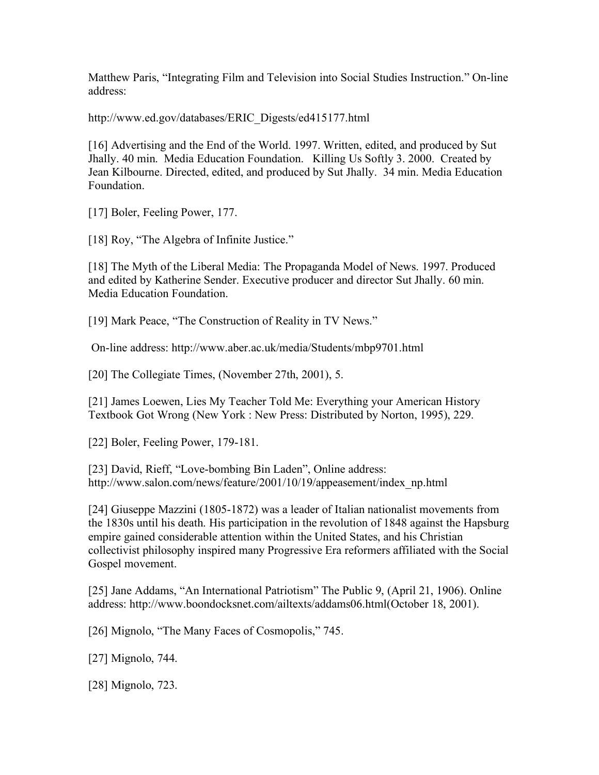Matthew Paris, "Integrating Film and Television into Social Studies Instruction." On-line address:

http://www.ed.gov/databases/ERIC\_Digests/ed415177.html

[16] Advertising and the End of the World. 1997. Written, edited, and produced by Sut Jhally. 40 min. Media Education Foundation. Killing Us Softly 3. 2000. Created by Jean Kilbourne. Directed, edited, and produced by Sut Jhally. 34 min. Media Education Foundation.

[17] Boler, Feeling Power, 177.

[18] Roy, "The Algebra of Infinite Justice."

[18] The Myth of the Liberal Media: The Propaganda Model of News. 1997. Produced and edited by Katherine Sender. Executive producer and director Sut Jhally. 60 min. Media Education Foundation.

[19] Mark Peace, "The Construction of Reality in TV News."

On-line address: http://www.aber.ac.uk/media/Students/mbp9701.html

[20] The Collegiate Times, (November 27th, 2001), 5.

[21] James Loewen, Lies My Teacher Told Me: Everything your American History Textbook Got Wrong (New York : New Press: Distributed by Norton, 1995), 229.

[22] Boler, Feeling Power, 179-181.

[23] David, Rieff, "Love-bombing Bin Laden", Online address: http://www.salon.com/news/feature/2001/10/19/appeasement/index\_np.html

[24] Giuseppe Mazzini (1805-1872) was a leader of Italian nationalist movements from the 1830s until his death. His participation in the revolution of 1848 against the Hapsburg empire gained considerable attention within the United States, and his Christian collectivist philosophy inspired many Progressive Era reformers affiliated with the Social Gospel movement.

[25] Jane Addams, "An International Patriotism" The Public 9, (April 21, 1906). Online address: http://www.boondocksnet.com/ailtexts/addams06.html(October 18, 2001).

[26] Mignolo, "The Many Faces of Cosmopolis," 745.

[27] Mignolo, 744.

[28] Mignolo, 723.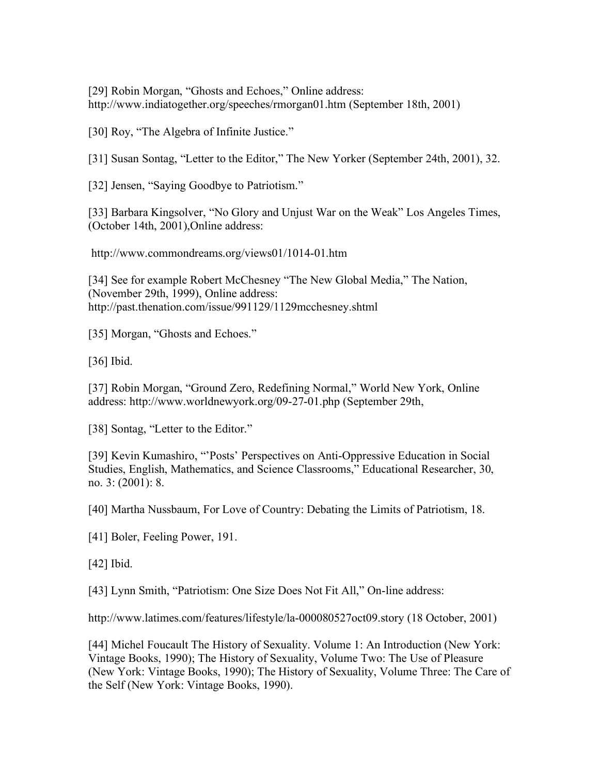[29] Robin Morgan, "Ghosts and Echoes," Online address: http://www.indiatogether.org/speeches/rmorgan01.htm (September 18th, 2001)

[30] Roy, "The Algebra of Infinite Justice."

[31] Susan Sontag, "Letter to the Editor," The New Yorker (September 24th, 2001), 32.

[32] Jensen, "Saying Goodbye to Patriotism."

[33] Barbara Kingsolver, "No Glory and Unjust War on the Weak" Los Angeles Times, (October 14th, 2001),Online address:

http://www.commondreams.org/views01/1014-01.htm

[34] See for example Robert McChesney "The New Global Media," The Nation, (November 29th, 1999), Online address: http://past.thenation.com/issue/991129/1129mcchesney.shtml

[35] Morgan, "Ghosts and Echoes."

[36] Ibid.

[37] Robin Morgan, "Ground Zero, Redefining Normal," World New York, Online address: http://www.worldnewyork.org/09-27-01.php (September 29th,

[38] Sontag, "Letter to the Editor."

[39] Kevin Kumashiro, "'Posts' Perspectives on Anti-Oppressive Education in Social Studies, English, Mathematics, and Science Classrooms," Educational Researcher, 30, no. 3: (2001): 8.

[40] Martha Nussbaum, For Love of Country: Debating the Limits of Patriotism, 18.

[41] Boler, Feeling Power, 191.

[42] Ibid.

[43] Lynn Smith, "Patriotism: One Size Does Not Fit All," On-line address:

http://www.latimes.com/features/lifestyle/la-000080527oct09.story (18 October, 2001)

[44] Michel Foucault The History of Sexuality. Volume 1: An Introduction (New York: Vintage Books, 1990); The History of Sexuality, Volume Two: The Use of Pleasure (New York: Vintage Books, 1990); The History of Sexuality, Volume Three: The Care of the Self (New York: Vintage Books, 1990).